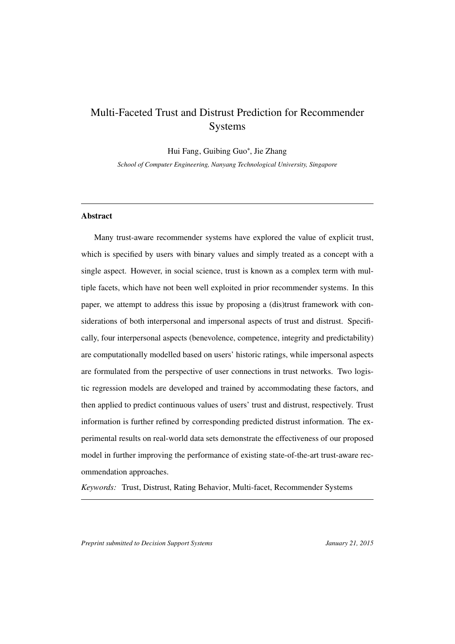# <span id="page-0-0"></span>Multi-Faceted Trust and Distrust Prediction for Recommender Systems

Hui Fang, Guibing Guo<sup>∗</sup> , Jie Zhang

*School of Computer Engineering, Nanyang Technological University, Singapore*

# Abstract

Many trust-aware recommender systems have explored the value of explicit trust, which is specified by users with binary values and simply treated as a concept with a single aspect. However, in social science, trust is known as a complex term with multiple facets, which have not been well exploited in prior recommender systems. In this paper, we attempt to address this issue by proposing a (dis)trust framework with considerations of both interpersonal and impersonal aspects of trust and distrust. Specifically, four interpersonal aspects (benevolence, competence, integrity and predictability) are computationally modelled based on users' historic ratings, while impersonal aspects are formulated from the perspective of user connections in trust networks. Two logistic regression models are developed and trained by accommodating these factors, and then applied to predict continuous values of users' trust and distrust, respectively. Trust information is further refined by corresponding predicted distrust information. The experimental results on real-world data sets demonstrate the effectiveness of our proposed model in further improving the performance of existing state-of-the-art trust-aware recommendation approaches.

*Keywords:* Trust, Distrust, Rating Behavior, Multi-facet, Recommender Systems

*Preprint submitted to Decision Support Systems January 21, 2015*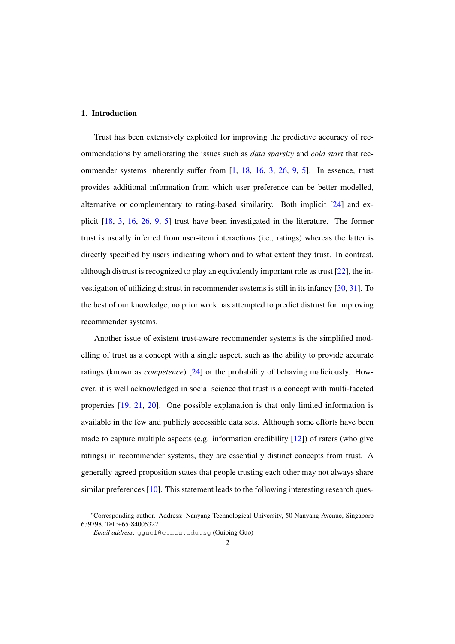# 1. Introduction

Trust has been extensively exploited for improving the predictive accuracy of recommendations by ameliorating the issues such as *data sparsity* and *cold start* that recommender systems inherently suffer from [\[1,](#page-31-0) [18,](#page-32-0) [16,](#page-32-1) [3,](#page-31-1) [26,](#page-33-0) [9,](#page-32-2) [5\]](#page-31-2). In essence, trust provides additional information from which user preference can be better modelled, alternative or complementary to rating-based similarity. Both implicit [\[24\]](#page-33-1) and explicit [\[18,](#page-32-0) [3,](#page-31-1) [16,](#page-32-1) [26,](#page-33-0) [9,](#page-32-2) [5\]](#page-31-2) trust have been investigated in the literature. The former trust is usually inferred from user-item interactions (i.e., ratings) whereas the latter is directly specified by users indicating whom and to what extent they trust. In contrast, although distrust is recognized to play an equivalently important role as trust [\[22\]](#page-33-2), the investigation of utilizing distrust in recommender systems is still in its infancy [\[30,](#page-33-3) [31\]](#page-33-4). To the best of our knowledge, no prior work has attempted to predict distrust for improving recommender systems.

Another issue of existent trust-aware recommender systems is the simplified modelling of trust as a concept with a single aspect, such as the ability to provide accurate ratings (known as *competence*) [\[24\]](#page-33-1) or the probability of behaving maliciously. However, it is well acknowledged in social science that trust is a concept with multi-faceted properties [\[19,](#page-32-3) [21,](#page-32-4) [20\]](#page-32-5). One possible explanation is that only limited information is available in the few and publicly accessible data sets. Although some efforts have been made to capture multiple aspects (e.g. information credibility [\[12\]](#page-32-6)) of raters (who give ratings) in recommender systems, they are essentially distinct concepts from trust. A generally agreed proposition states that people trusting each other may not always share similar preferences  $[10]$ . This statement leads to the following interesting research ques-

<sup>∗</sup>Corresponding author. Address: Nanyang Technological University, 50 Nanyang Avenue, Singapore 639798. Tel.:+65-84005322

*Email address:* gguo1@e.ntu.edu.sg (Guibing Guo)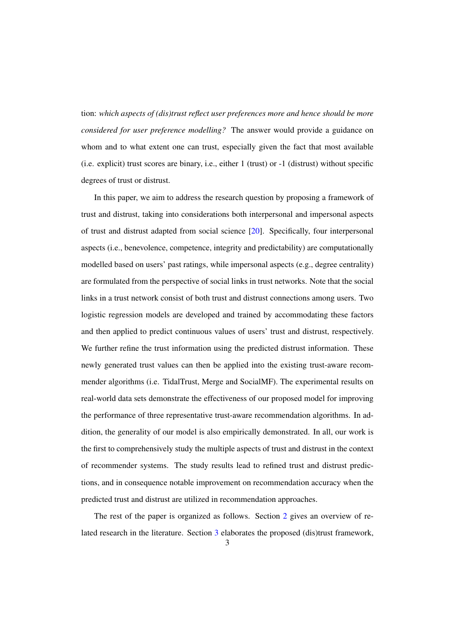tion: *which aspects of (dis)trust reflect user preferences more and hence should be more considered for user preference modelling?* The answer would provide a guidance on whom and to what extent one can trust, especially given the fact that most available (i.e. explicit) trust scores are binary, i.e., either 1 (trust) or -1 (distrust) without specific degrees of trust or distrust.

In this paper, we aim to address the research question by proposing a framework of trust and distrust, taking into considerations both interpersonal and impersonal aspects of trust and distrust adapted from social science [\[20\]](#page-32-5). Specifically, four interpersonal aspects (i.e., benevolence, competence, integrity and predictability) are computationally modelled based on users' past ratings, while impersonal aspects (e.g., degree centrality) are formulated from the perspective of social links in trust networks. Note that the social links in a trust network consist of both trust and distrust connections among users. Two logistic regression models are developed and trained by accommodating these factors and then applied to predict continuous values of users' trust and distrust, respectively. We further refine the trust information using the predicted distrust information. These newly generated trust values can then be applied into the existing trust-aware recommender algorithms (i.e. TidalTrust, Merge and SocialMF). The experimental results on real-world data sets demonstrate the effectiveness of our proposed model for improving the performance of three representative trust-aware recommendation algorithms. In addition, the generality of our model is also empirically demonstrated. In all, our work is the first to comprehensively study the multiple aspects of trust and distrust in the context of recommender systems. The study results lead to refined trust and distrust predictions, and in consequence notable improvement on recommendation accuracy when the predicted trust and distrust are utilized in recommendation approaches.

The rest of the paper is organized as follows. Section [2](#page-3-0) gives an overview of related research in the literature. Section [3](#page-6-0) elaborates the proposed (dis)trust framework,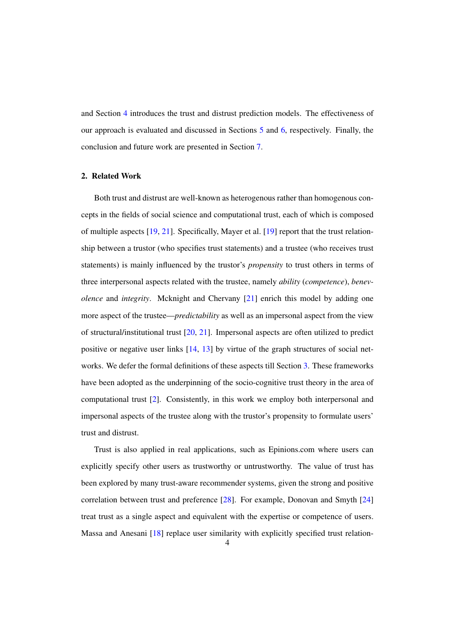and Section [4](#page-9-0) introduces the trust and distrust prediction models. The effectiveness of our approach is evaluated and discussed in Sections [5](#page-15-0) and [6,](#page-18-0) respectively. Finally, the conclusion and future work are presented in Section [7.](#page-28-0)

# <span id="page-3-0"></span>2. Related Work

Both trust and distrust are well-known as heterogenous rather than homogenous concepts in the fields of social science and computational trust, each of which is composed of multiple aspects [\[19,](#page-32-3) [21\]](#page-32-4). Specifically, Mayer et al. [\[19\]](#page-32-3) report that the trust relationship between a trustor (who specifies trust statements) and a trustee (who receives trust statements) is mainly influenced by the trustor's *propensity* to trust others in terms of three interpersonal aspects related with the trustee, namely *ability* (*competence*), *benevolence* and *integrity*. Mcknight and Chervany [\[21\]](#page-32-4) enrich this model by adding one more aspect of the trustee—*predictability* as well as an impersonal aspect from the view of structural/institutional trust [\[20,](#page-32-5) [21\]](#page-32-4). Impersonal aspects are often utilized to predict positive or negative user links [\[14,](#page-32-8) [13\]](#page-32-9) by virtue of the graph structures of social networks. We defer the formal definitions of these aspects till Section [3.](#page-6-0) These frameworks have been adopted as the underpinning of the socio-cognitive trust theory in the area of computational trust [\[2\]](#page-31-3). Consistently, in this work we employ both interpersonal and impersonal aspects of the trustee along with the trustor's propensity to formulate users' trust and distrust.

Trust is also applied in real applications, such as Epinions.com where users can explicitly specify other users as trustworthy or untrustworthy. The value of trust has been explored by many trust-aware recommender systems, given the strong and positive correlation between trust and preference [\[28\]](#page-33-5). For example, Donovan and Smyth [\[24\]](#page-33-1) treat trust as a single aspect and equivalent with the expertise or competence of users. Massa and Anesani [\[18\]](#page-32-0) replace user similarity with explicitly specified trust relation-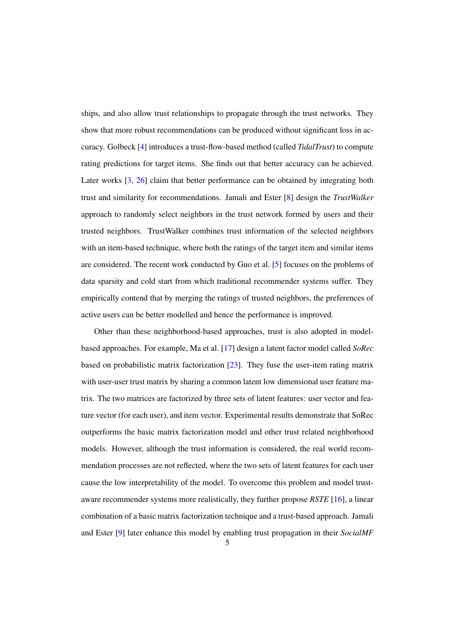ships, and also allow trust relationships to propagate through the trust networks. They show that more robust recommendations can be produced without significant loss in accuracy. Golbeck [\[4\]](#page-31-4) introduces a trust-flow-based method (called *TidalTrust*) to compute rating predictions for target items. She finds out that better accuracy can be achieved. Later works [\[3,](#page-31-1) [26\]](#page-33-0) claim that better performance can be obtained by integrating both trust and similarity for recommendations. Jamali and Ester [\[8\]](#page-31-5) design the *TrustWalker* approach to randomly select neighbors in the trust network formed by users and their trusted neighbors. TrustWalker combines trust information of the selected neighbors with an item-based technique, where both the ratings of the target item and similar items are considered. The recent work conducted by Guo et al. [\[5\]](#page-31-2) focuses on the problems of data sparsity and cold start from which traditional recommender systems suffer. They empirically contend that by merging the ratings of trusted neighbors, the preferences of active users can be better modelled and hence the performance is improved.

Other than these neighborhood-based approaches, trust is also adopted in modelbased approaches. For example, Ma et al. [\[17\]](#page-32-10) design a latent factor model called *SoRec* based on probabilistic matrix factorization [\[23\]](#page-33-6). They fuse the user-item rating matrix with user-user trust matrix by sharing a common latent low dimensional user feature matrix. The two matrices are factorized by three sets of latent features: user vector and feature vector (for each user), and item vector. Experimental results demonstrate that SoRec outperforms the basic matrix factorization model and other trust related neighborhood models. However, although the trust information is considered, the real world recommendation processes are not reflected, where the two sets of latent features for each user cause the low interpretability of the model. To overcome this problem and model trustaware recommender systems more realistically, they further propose *RSTE* [\[16\]](#page-32-1), a linear combination of a basic matrix factorization technique and a trust-based approach. Jamali and Ester [\[9\]](#page-32-2) later enhance this model by enabling trust propagation in their *SocialMF*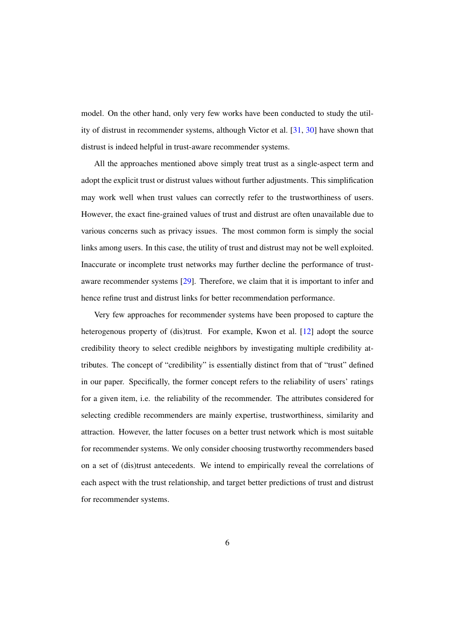model. On the other hand, only very few works have been conducted to study the utility of distrust in recommender systems, although Victor et al. [\[31,](#page-33-4) [30\]](#page-33-3) have shown that distrust is indeed helpful in trust-aware recommender systems.

All the approaches mentioned above simply treat trust as a single-aspect term and adopt the explicit trust or distrust values without further adjustments. This simplification may work well when trust values can correctly refer to the trustworthiness of users. However, the exact fine-grained values of trust and distrust are often unavailable due to various concerns such as privacy issues. The most common form is simply the social links among users. In this case, the utility of trust and distrust may not be well exploited. Inaccurate or incomplete trust networks may further decline the performance of trustaware recommender systems [\[29\]](#page-33-7). Therefore, we claim that it is important to infer and hence refine trust and distrust links for better recommendation performance.

Very few approaches for recommender systems have been proposed to capture the heterogenous property of (dis)trust. For example, Kwon et al. [\[12\]](#page-32-6) adopt the source credibility theory to select credible neighbors by investigating multiple credibility attributes. The concept of "credibility" is essentially distinct from that of "trust" defined in our paper. Specifically, the former concept refers to the reliability of users' ratings for a given item, i.e. the reliability of the recommender. The attributes considered for selecting credible recommenders are mainly expertise, trustworthiness, similarity and attraction. However, the latter focuses on a better trust network which is most suitable for recommender systems. We only consider choosing trustworthy recommenders based on a set of (dis)trust antecedents. We intend to empirically reveal the correlations of each aspect with the trust relationship, and target better predictions of trust and distrust for recommender systems.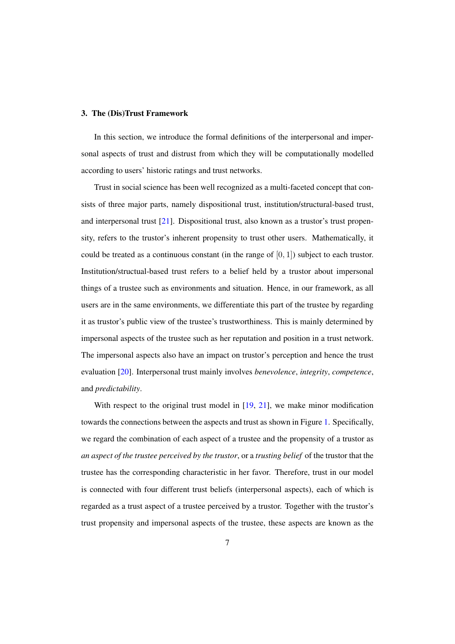#### <span id="page-6-0"></span>3. The (Dis)Trust Framework

In this section, we introduce the formal definitions of the interpersonal and impersonal aspects of trust and distrust from which they will be computationally modelled according to users' historic ratings and trust networks.

Trust in social science has been well recognized as a multi-faceted concept that consists of three major parts, namely dispositional trust, institution/structural-based trust, and interpersonal trust [\[21\]](#page-32-4). Dispositional trust, also known as a trustor's trust propensity, refers to the trustor's inherent propensity to trust other users. Mathematically, it could be treated as a continuous constant (in the range of  $[0, 1]$ ) subject to each trustor. Institution/structual-based trust refers to a belief held by a trustor about impersonal things of a trustee such as environments and situation. Hence, in our framework, as all users are in the same environments, we differentiate this part of the trustee by regarding it as trustor's public view of the trustee's trustworthiness. This is mainly determined by impersonal aspects of the trustee such as her reputation and position in a trust network. The impersonal aspects also have an impact on trustor's perception and hence the trust evaluation [\[20\]](#page-32-5). Interpersonal trust mainly involves *benevolence*, *integrity*, *competence*, and *predictability*.

With respect to the original trust model in  $[19, 21]$  $[19, 21]$  $[19, 21]$ , we make minor modification towards the connections between the aspects and trust as shown in Figure [1.](#page-7-0) Specifically, we regard the combination of each aspect of a trustee and the propensity of a trustor as *an aspect of the trustee perceived by the trustor*, or a *trusting belief* of the trustor that the trustee has the corresponding characteristic in her favor. Therefore, trust in our model is connected with four different trust beliefs (interpersonal aspects), each of which is regarded as a trust aspect of a trustee perceived by a trustor. Together with the trustor's trust propensity and impersonal aspects of the trustee, these aspects are known as the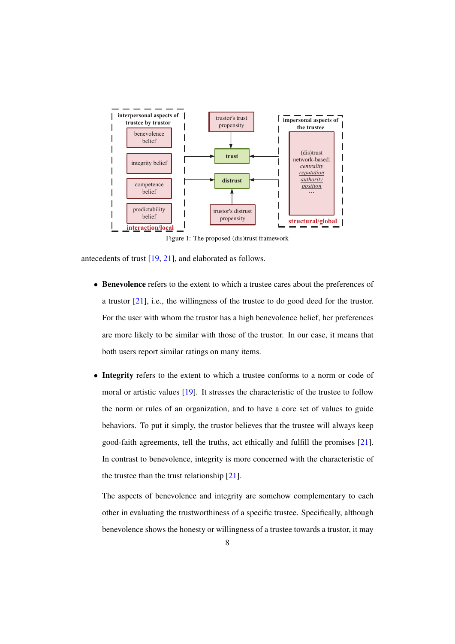<span id="page-7-0"></span>

Figure 1: The proposed (dis)trust framework

antecedents of trust [\[19,](#page-32-3) [21\]](#page-32-4), and elaborated as follows.

- Benevolence refers to the extent to which a trustee cares about the preferences of a trustor [\[21\]](#page-32-4), i.e., the willingness of the trustee to do good deed for the trustor. For the user with whom the trustor has a high benevolence belief, her preferences are more likely to be similar with those of the trustor. In our case, it means that both users report similar ratings on many items.
- Integrity refers to the extent to which a trustee conforms to a norm or code of moral or artistic values [\[19\]](#page-32-3). It stresses the characteristic of the trustee to follow the norm or rules of an organization, and to have a core set of values to guide behaviors. To put it simply, the trustor believes that the trustee will always keep good-faith agreements, tell the truths, act ethically and fulfill the promises [\[21\]](#page-32-4). In contrast to benevolence, integrity is more concerned with the characteristic of the trustee than the trust relationship [\[21\]](#page-32-4).

The aspects of benevolence and integrity are somehow complementary to each other in evaluating the trustworthiness of a specific trustee. Specifically, although benevolence shows the honesty or willingness of a trustee towards a trustor, it may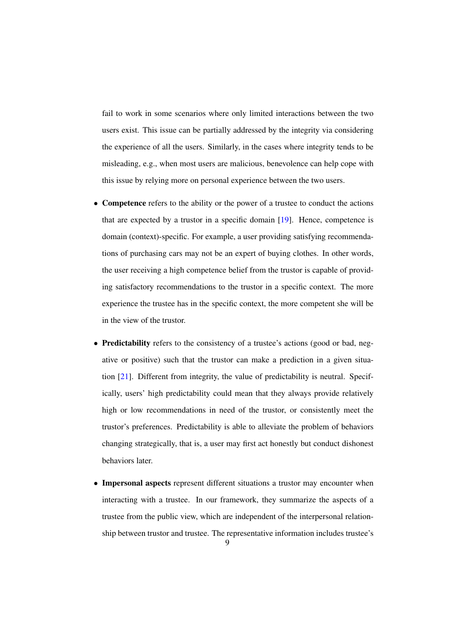fail to work in some scenarios where only limited interactions between the two users exist. This issue can be partially addressed by the integrity via considering the experience of all the users. Similarly, in the cases where integrity tends to be misleading, e.g., when most users are malicious, benevolence can help cope with this issue by relying more on personal experience between the two users.

- Competence refers to the ability or the power of a trustee to conduct the actions that are expected by a trustor in a specific domain [\[19\]](#page-32-3). Hence, competence is domain (context)-specific. For example, a user providing satisfying recommendations of purchasing cars may not be an expert of buying clothes. In other words, the user receiving a high competence belief from the trustor is capable of providing satisfactory recommendations to the trustor in a specific context. The more experience the trustee has in the specific context, the more competent she will be in the view of the trustor.
- Predictability refers to the consistency of a trustee's actions (good or bad, negative or positive) such that the trustor can make a prediction in a given situation [\[21\]](#page-32-4). Different from integrity, the value of predictability is neutral. Specifically, users' high predictability could mean that they always provide relatively high or low recommendations in need of the trustor, or consistently meet the trustor's preferences. Predictability is able to alleviate the problem of behaviors changing strategically, that is, a user may first act honestly but conduct dishonest behaviors later.
- Impersonal aspects represent different situations a trustor may encounter when interacting with a trustee. In our framework, they summarize the aspects of a trustee from the public view, which are independent of the interpersonal relationship between trustor and trustee. The representative information includes trustee's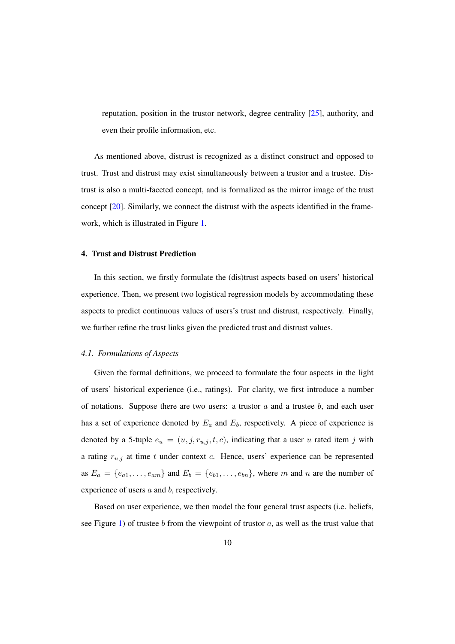reputation, position in the trustor network, degree centrality [\[25\]](#page-33-8), authority, and even their profile information, etc.

As mentioned above, distrust is recognized as a distinct construct and opposed to trust. Trust and distrust may exist simultaneously between a trustor and a trustee. Distrust is also a multi-faceted concept, and is formalized as the mirror image of the trust concept [\[20\]](#page-32-5). Similarly, we connect the distrust with the aspects identified in the framework, which is illustrated in Figure [1.](#page-7-0)

# <span id="page-9-0"></span>4. Trust and Distrust Prediction

In this section, we firstly formulate the (dis)trust aspects based on users' historical experience. Then, we present two logistical regression models by accommodating these aspects to predict continuous values of users's trust and distrust, respectively. Finally, we further refine the trust links given the predicted trust and distrust values.

#### *4.1. Formulations of Aspects*

Given the formal definitions, we proceed to formulate the four aspects in the light of users' historical experience (i.e., ratings). For clarity, we first introduce a number of notations. Suppose there are two users: a trustor  $\alpha$  and a trustee  $\dot{b}$ , and each user has a set of experience denoted by  $E_a$  and  $E_b$ , respectively. A piece of experience is denoted by a 5-tuple  $e_u = (u, j, r_{u,j}, t, c)$ , indicating that a user u rated item j with a rating  $r_{u,j}$  at time t under context c. Hence, users' experience can be represented as  $E_a = \{e_{a1}, \ldots, e_{am}\}\$  and  $E_b = \{e_{b1}, \ldots, e_{bn}\}\$ , where m and n are the number of experience of users a and b, respectively.

Based on user experience, we then model the four general trust aspects (i.e. beliefs, see Figure [1\)](#page-7-0) of trustee b from the viewpoint of trustor a, as well as the trust value that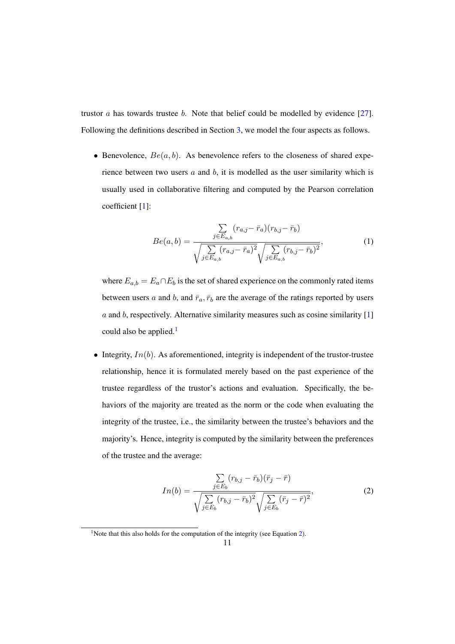trustor  $\alpha$  has towards trustee  $\beta$ . Note that belief could be modelled by evidence [\[27\]](#page-33-9). Following the definitions described in Section [3,](#page-6-0) we model the four aspects as follows.

• Benevolence,  $Be(a, b)$ . As benevolence refers to the closeness of shared experience between two users  $a$  and  $b$ , it is modelled as the user similarity which is usually used in collaborative filtering and computed by the Pearson correlation coefficient [\[1\]](#page-31-0):

$$
Be(a,b) = \frac{\sum\limits_{j \in E_{a,b}} (r_{a,j} - \bar{r}_a)(r_{b,j} - \bar{r}_b)}{\sqrt{\sum\limits_{j \in E_{a,b}} (r_{a,j} - \bar{r}_a)^2} \sqrt{\sum\limits_{j \in E_{a,b}} (r_{b,j} - \bar{r}_b)^2}},
$$
(1)

where  $E_{a,b} = E_a \cap E_b$  is the set of shared experience on the commonly rated items between users a and b, and  $\bar{r}_a$ ,  $\bar{r}_b$  are the average of the ratings reported by users  $a$  and  $b$ , respectively. Alternative similarity measures such as cosine similarity [\[1\]](#page-31-0) could also be applied.<sup>[1](#page-0-0)</sup>

• Integrity,  $In(b)$ . As aforementioned, integrity is independent of the trustor-trustee relationship, hence it is formulated merely based on the past experience of the trustee regardless of the trustor's actions and evaluation. Specifically, the behaviors of the majority are treated as the norm or the code when evaluating the integrity of the trustee, i.e., the similarity between the trustee's behaviors and the majority's. Hence, integrity is computed by the similarity between the preferences of the trustee and the average:

<span id="page-10-0"></span>
$$
In(b) = \frac{\sum_{j \in E_b} (r_{b,j} - \bar{r}_b)(\bar{r}_j - \bar{r})}{\sqrt{\sum_{j \in E_b} (r_{b,j} - \bar{r}_b)^2} \sqrt{\sum_{j \in E_b} (\bar{r}_j - \bar{r})^2}},
$$
(2)

<sup>&</sup>lt;sup>1</sup>Note that this also holds for the computation of the integrity (see Equation [2\)](#page-10-0).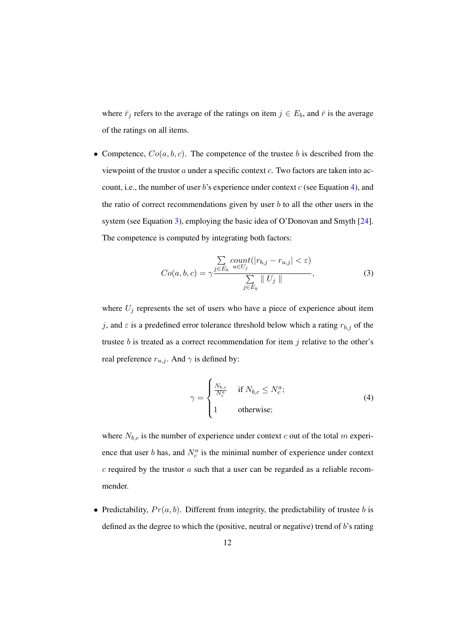where  $\bar{r}_j$  refers to the average of the ratings on item  $j \in E_b$ , and  $\bar{r}$  is the average of the ratings on all items.

• Competence,  $Co(a, b, c)$ . The competence of the trustee b is described from the viewpoint of the trustor a under a specific context c. Two factors are taken into account, i.e., the number of user  $b$ 's experience under context  $c$  (see Equation [4\)](#page-11-0), and the ratio of correct recommendations given by user  $b$  to all the other users in the system (see Equation [3\)](#page-11-1), employing the basic idea of O'Donovan and Smyth [\[24\]](#page-33-1). The competence is computed by integrating both factors:

<span id="page-11-1"></span>
$$
Co(a, b, c) = \gamma \frac{\sum\limits_{j \in E_b} count(|r_{b,j} - r_{u,j}| < \varepsilon)}{\sum\limits_{j \in E_b} ||U_j||}, \tag{3}
$$

where  $U_j$  represents the set of users who have a piece of experience about item j, and  $\varepsilon$  is a predefined error tolerance threshold below which a rating  $r_{b,j}$  of the trustee  $b$  is treated as a correct recommendation for item  $j$  relative to the other's real preference  $r_{u,j}$ . And  $\gamma$  is defined by:

<span id="page-11-0"></span>
$$
\gamma = \begin{cases} \frac{N_{b,c}}{N_c^a} & \text{if } N_{b,c} \le N_c^a; \\ 1 & \text{otherwise}; \end{cases}
$$
 (4)

where  $N_{b,c}$  is the number of experience under context c out of the total m experience that user b has, and  $N_c^a$  is the minimal number of experience under context  $c$  required by the trustor  $a$  such that a user can be regarded as a reliable recommender.

• Predictability,  $Pr(a, b)$ . Different from integrity, the predictability of trustee b is defined as the degree to which the (positive, neutral or negative) trend of b's rating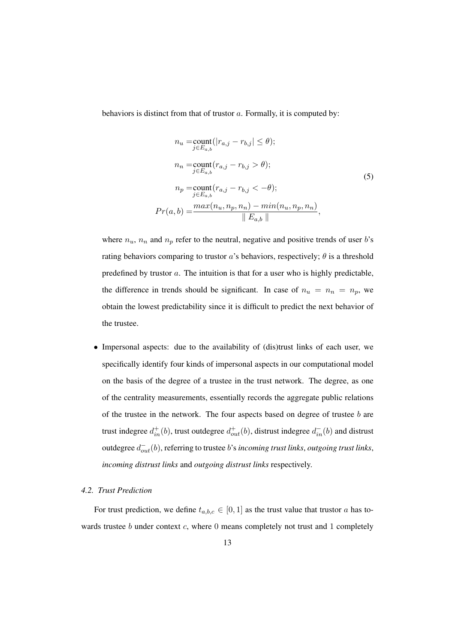<span id="page-12-0"></span>behaviors is distinct from that of trustor a. Formally, it is computed by:

$$
n_{u} = \text{count}_{j \in E_{a,b}}(|r_{a,j} - r_{b,j}| \leq \theta);
$$
  
\n
$$
n_{n} = \text{count}_{j \in E_{a,b}}(r_{a,j} - r_{b,j} > \theta);
$$
  
\n
$$
n_{p} = \text{count}_{j \in E_{a,b}}(r_{a,j} - r_{b,j} < -\theta);
$$
  
\n
$$
Pr(a,b) = \frac{\max(n_{u}, n_{p}, n_{n}) - \min(n_{u}, n_{p}, n_{n})}{\|E_{a,b}\|},
$$
\n(5)

where  $n_u$ ,  $n_n$  and  $n_p$  refer to the neutral, negative and positive trends of user b's rating behaviors comparing to trustor  $a$ 's behaviors, respectively;  $\theta$  is a threshold predefined by trustor a. The intuition is that for a user who is highly predictable, the difference in trends should be significant. In case of  $n_u = n_n = n_p$ , we obtain the lowest predictability since it is difficult to predict the next behavior of the trustee.

• Impersonal aspects: due to the availability of (dis)trust links of each user, we specifically identify four kinds of impersonal aspects in our computational model on the basis of the degree of a trustee in the trust network. The degree, as one of the centrality measurements, essentially records the aggregate public relations of the trustee in the network. The four aspects based on degree of trustee  $b$  are trust indegree  $d_{in}^+(b)$ , trust outdegree  $d_{out}^+(b)$ , distrust indegree  $d_{in}^-(b)$  and distrust outdegree  $d_{out}^-(b)$ , referring to trustee  $b$ 's *incoming trust links*, *outgoing trust links*, *incoming distrust links* and *outgoing distrust links* respectively.

# *4.2. Trust Prediction*

For trust prediction, we define  $t_{a,b,c} \in [0,1]$  as the trust value that trustor a has towards trustee  $b$  under context  $c$ , where  $0$  means completely not trust and  $1$  completely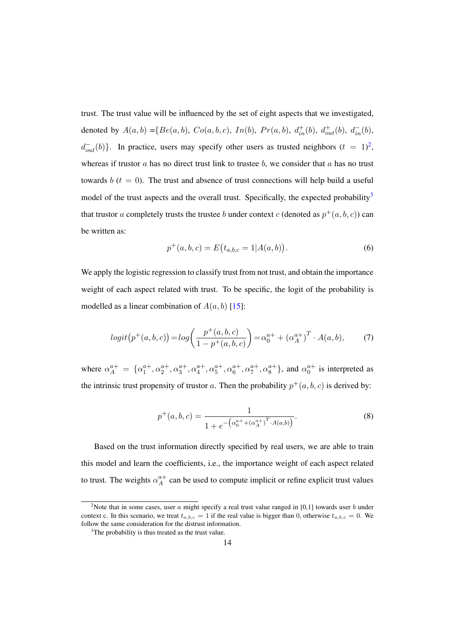trust. The trust value will be influenced by the set of eight aspects that we investigated, denoted by  $A(a, b) = {Be(a, b), Co(a, b, c), In(b), Pr(a, b), d_{in}^+(b), d_{out}^-(b), d_{in}^-(b)}$  $d_{out}^{-}(b)$ . In practice, users may specify other users as trusted neighbors  $(t = 1)^2$  $(t = 1)^2$ , whereas if trustor  $a$  has no direct trust link to trustee  $b$ , we consider that  $a$  has no trust towards b  $(t = 0)$ . The trust and absence of trust connections will help build a useful model of the trust aspects and the overall trust. Specifically, the expected probability<sup>[3](#page-0-0)</sup> that trustor a completely trusts the trustee b under context c (denoted as  $p^+(a,b,c)$ ) can be written as:

$$
p^{+}(a,b,c) = E(t_{a,b,c} = 1 | A(a,b)).
$$
\n(6)

We apply the logistic regression to classify trust from not trust, and obtain the importance weight of each aspect related with trust. To be specific, the logit of the probability is modelled as a linear combination of  $A(a, b)$  [\[15\]](#page-32-11):

<span id="page-13-1"></span>
$$
logit(p^+(a,b,c)) = log\left(\frac{p^+(a,b,c)}{1 - p^+(a,b,c)}\right) = \alpha_0^{a+} + (\alpha_A^{a+})^T \cdot A(a,b),
$$
 (7)

where  $\alpha_A^{a+} = \{ \alpha_1^{a+}, \alpha_2^{a+}, \alpha_3^{a+}, \alpha_4^{a+}, \alpha_5^{a+}, \alpha_6^{a+}, \alpha_7^{a+}, \alpha_8^{a+} \}$ , and  $\alpha_0^{a+}$  is interpreted as the intrinsic trust propensity of trustor a. Then the probability  $p^+(a, b, c)$  is derived by:

<span id="page-13-0"></span>
$$
p^{+}(a,b,c) = \frac{1}{1 + e^{-\left(\alpha_0^{a^{+}} + (\alpha_A^{a^{+}})^{T} \cdot A(a,b)\right)}}.
$$
\n(8)

Based on the trust information directly specified by real users, we are able to train this model and learn the coefficients, i.e., the importance weight of each aspect related to trust. The weights  $\alpha_A^{a+}$  $_A^{a+}$  can be used to compute implicit or refine explicit trust values

<sup>&</sup>lt;sup>2</sup>Note that in some cases, user a might specify a real trust value ranged in [0,1] towards user b under context c. In this scenario, we treat  $t_{a,b,c} = 1$  if the real value is bigger than 0, otherwise  $t_{a,b,c} = 0$ . We follow the same consideration for the distrust information.

 $3<sup>3</sup>$ The probability is thus treated as the trust value.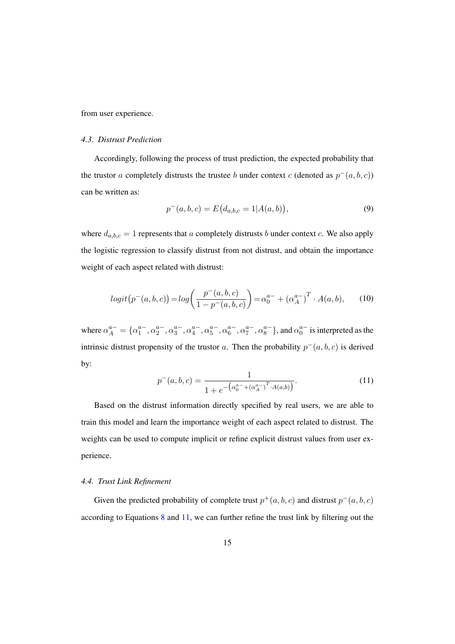from user experience.

### *4.3. Distrust Prediction*

Accordingly, following the process of trust prediction, the expected probability that the trustor a completely distrusts the trustee b under context c (denoted as  $p^-(a, b, c)$ ) can be written as:

$$
p^{-}(a,b,c) = E(d_{a,b,c} = 1|A(a,b)),
$$
\n(9)

where  $d_{a,b,c} = 1$  represents that a completely distrusts b under context c. We also apply the logistic regression to classify distrust from not distrust, and obtain the importance weight of each aspect related with distrust:

<span id="page-14-1"></span>
$$
logit(p^-(a,b,c)) = log\left(\frac{p^-(a,b,c)}{1 - p^-(a,b,c)}\right) = \alpha_0^{a-} + (\alpha_A^{a-})^T \cdot A(a,b), \quad (10)
$$

where  $\alpha_A^{a-} = \{\alpha_1^{a-}, \alpha_2^{a-}, \alpha_3^{a-}, \alpha_4^{a-}, \alpha_5^{a-}, \alpha_6^{a-}, \alpha_7^{a-}, \alpha_8^{a-}\}$ , and  $\alpha_0^{a-}$  is interpreted as the intrinsic distrust propensity of the trustor a. Then the probability  $p^-(a, b, c)$  is derived by:

<span id="page-14-0"></span>
$$
p^{-}(a,b,c) = \frac{1}{1 + e^{-\left(\alpha_0^{a-} + (\alpha_A^{a-})^T \cdot A(a,b)\right)}}.
$$
\n(11)

Based on the distrust information directly specified by real users, we are able to train this model and learn the importance weight of each aspect related to distrust. The weights can be used to compute implicit or refine explicit distrust values from user experience.

# *4.4. Trust Link Refinement*

Given the predicted probability of complete trust  $p^+(a, b, c)$  and distrust  $p^-(a, b, c)$ according to Equations [8](#page-13-0) and [11,](#page-14-0) we can further refine the trust link by filtering out the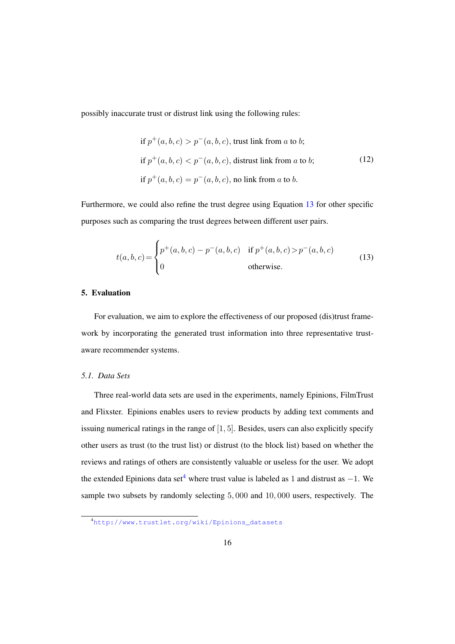<span id="page-15-3"></span>possibly inaccurate trust or distrust link using the following rules:

if 
$$
p^+(a, b, c) > p^-(a, b, c)
$$
, trust link from *a* to *b*;  
if  $p^+(a, b, c) < p^-(a, b, c)$ , distrust link from *a* to *b*;  
if  $p^+(a, b, c) = p^-(a, b, c)$ , no link from *a* to *b*. (12)

Furthermore, we could also refine the trust degree using Equation [13](#page-15-1) for other specific purposes such as comparing the trust degrees between different user pairs.

<span id="page-15-1"></span>
$$
t(a,b,c) = \begin{cases} p^+(a,b,c) - p^-(a,b,c) & \text{if } p^+(a,b,c) > p^-(a,b,c) \\ 0 & \text{otherwise.} \end{cases}
$$
(13)

# <span id="page-15-0"></span>5. Evaluation

For evaluation, we aim to explore the effectiveness of our proposed (dis)trust framework by incorporating the generated trust information into three representative trustaware recommender systems.

#### <span id="page-15-2"></span>*5.1. Data Sets*

Three real-world data sets are used in the experiments, namely Epinions, FilmTrust and Flixster. Epinions enables users to review products by adding text comments and issuing numerical ratings in the range of  $[1, 5]$ . Besides, users can also explicitly specify other users as trust (to the trust list) or distrust (to the block list) based on whether the reviews and ratings of others are consistently valuable or useless for the user. We adopt the extended Epinions data set<sup>[4](#page-0-0)</sup> where trust value is labeled as 1 and distrust as  $-1$ . We sample two subsets by randomly selecting 5, 000 and 10, 000 users, respectively. The

<sup>4</sup>[http://www.trustlet.org/wiki/Epinions\\_datasets](http://www.trustlet.org/wiki/Epinions_datasets)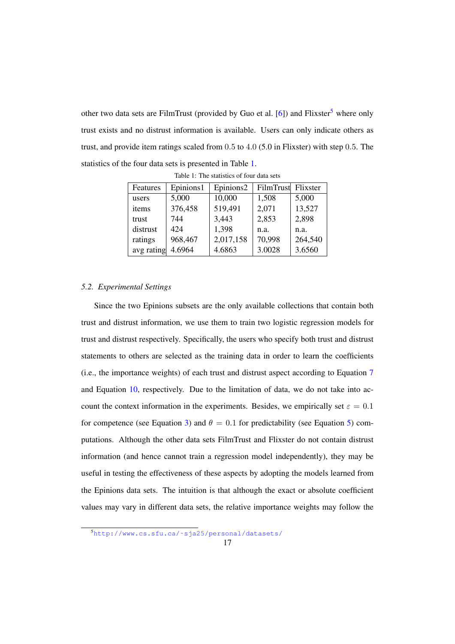other two data sets are FilmTrust (provided by Guo et al. [\[6\]](#page-31-6)) and Flixster<sup>[5](#page-0-0)</sup> where only trust exists and no distrust information is available. Users can only indicate others as trust, and provide item ratings scaled from 0.5 to 4.0 (5.0 in Flixster) with step 0.5. The statistics of the four data sets is presented in Table [1.](#page-16-0)

<span id="page-16-0"></span>

| Features   | Epinions1 | Epinions2 | FilmTrust Flixster |         |
|------------|-----------|-----------|--------------------|---------|
| users      | 5,000     | 10,000    | 1,508              | 5,000   |
| items      | 376,458   | 519,491   | 2,071              | 13,527  |
| trust      | 744       | 3,443     | 2,853              | 2,898   |
| distrust   | 424       | 1,398     | n.a.               | n.a.    |
| ratings    | 968,467   | 2,017,158 | 70,998             | 264,540 |
| avg rating | 4.6964    | 4.6863    | 3.0028             | 3.6560  |

Table 1: The statistics of four data sets

#### *5.2. Experimental Settings*

Since the two Epinions subsets are the only available collections that contain both trust and distrust information, we use them to train two logistic regression models for trust and distrust respectively. Specifically, the users who specify both trust and distrust statements to others are selected as the training data in order to learn the coefficients (i.e., the importance weights) of each trust and distrust aspect according to Equation [7](#page-13-1) and Equation [10,](#page-14-1) respectively. Due to the limitation of data, we do not take into account the context information in the experiments. Besides, we empirically set  $\varepsilon = 0.1$ for competence (see Equation [3\)](#page-11-1) and  $\theta = 0.1$  for predictability (see Equation [5\)](#page-12-0) computations. Although the other data sets FilmTrust and Flixster do not contain distrust information (and hence cannot train a regression model independently), they may be useful in testing the effectiveness of these aspects by adopting the models learned from the Epinions data sets. The intuition is that although the exact or absolute coefficient values may vary in different data sets, the relative importance weights may follow the

<sup>5</sup>[http://www.cs.sfu.ca/˜sja25/personal/datasets/](http://www.cs.sfu.ca/~sja25/personal/datasets/)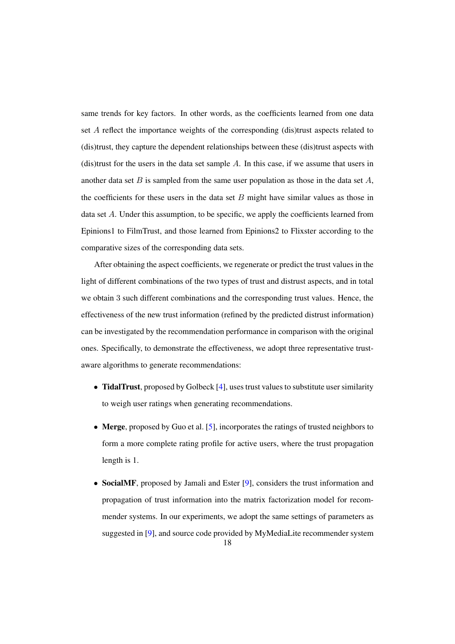same trends for key factors. In other words, as the coefficients learned from one data set A reflect the importance weights of the corresponding (dis)trust aspects related to (dis)trust, they capture the dependent relationships between these (dis)trust aspects with (dis)trust for the users in the data set sample  $A$ . In this case, if we assume that users in another data set  $B$  is sampled from the same user population as those in the data set  $A$ , the coefficients for these users in the data set  $B$  might have similar values as those in data set A. Under this assumption, to be specific, we apply the coefficients learned from Epinions1 to FilmTrust, and those learned from Epinions2 to Flixster according to the comparative sizes of the corresponding data sets.

After obtaining the aspect coefficients, we regenerate or predict the trust values in the light of different combinations of the two types of trust and distrust aspects, and in total we obtain 3 such different combinations and the corresponding trust values. Hence, the effectiveness of the new trust information (refined by the predicted distrust information) can be investigated by the recommendation performance in comparison with the original ones. Specifically, to demonstrate the effectiveness, we adopt three representative trustaware algorithms to generate recommendations:

- TidalTrust, proposed by Golbeck [\[4\]](#page-31-4), uses trust values to substitute user similarity to weigh user ratings when generating recommendations.
- Merge, proposed by Guo et al. [\[5\]](#page-31-2), incorporates the ratings of trusted neighbors to form a more complete rating profile for active users, where the trust propagation length is 1.
- SocialMF, proposed by Jamali and Ester [\[9\]](#page-32-2), considers the trust information and propagation of trust information into the matrix factorization model for recommender systems. In our experiments, we adopt the same settings of parameters as suggested in [\[9\]](#page-32-2), and source code provided by MyMediaLite recommender system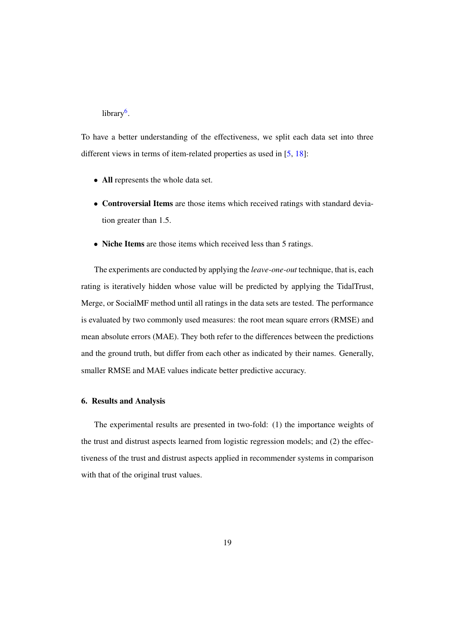# library<sup>[6](#page-0-0)</sup>.

To have a better understanding of the effectiveness, we split each data set into three different views in terms of item-related properties as used in [\[5,](#page-31-2) [18\]](#page-32-0):

- All represents the whole data set.
- Controversial Items are those items which received ratings with standard deviation greater than 1.5.
- Niche Items are those items which received less than 5 ratings.

The experiments are conducted by applying the *leave-one-out* technique, that is, each rating is iteratively hidden whose value will be predicted by applying the TidalTrust, Merge, or SocialMF method until all ratings in the data sets are tested. The performance is evaluated by two commonly used measures: the root mean square errors (RMSE) and mean absolute errors (MAE). They both refer to the differences between the predictions and the ground truth, but differ from each other as indicated by their names. Generally, smaller RMSE and MAE values indicate better predictive accuracy.

# <span id="page-18-0"></span>6. Results and Analysis

The experimental results are presented in two-fold: (1) the importance weights of the trust and distrust aspects learned from logistic regression models; and (2) the effectiveness of the trust and distrust aspects applied in recommender systems in comparison with that of the original trust values.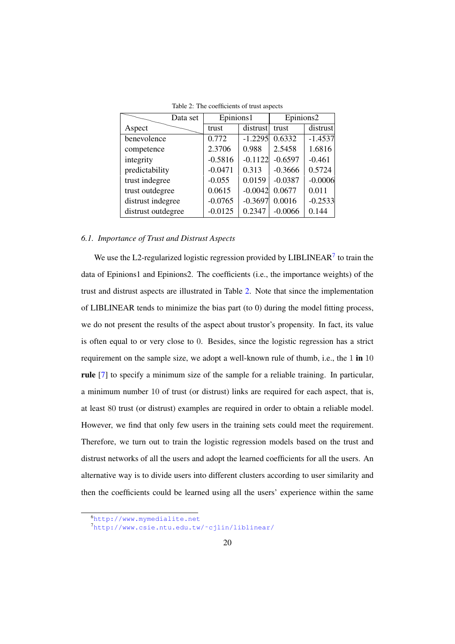<span id="page-19-0"></span>

| Data set           | Epinions1 |           | Epinions2 |           |  |  |  |  |
|--------------------|-----------|-----------|-----------|-----------|--|--|--|--|
| Aspect             | trust     | distrust  | trust     | distrust  |  |  |  |  |
| benevolence        | 0.772     | $-1.2295$ | 0.6332    | $-1.4537$ |  |  |  |  |
| competence         | 2.3706    | 0.988     | 2.5458    | 1.6816    |  |  |  |  |
| integrity          | $-0.5816$ | $-0.1122$ | $-0.6597$ | $-0.461$  |  |  |  |  |
| predictability     | $-0.0471$ | 0.313     | $-0.3666$ | 0.5724    |  |  |  |  |
| trust indegree     | $-0.055$  | 0.0159    | $-0.0387$ | $-0.0006$ |  |  |  |  |
| trust outdegree    | 0.0615    | $-0.0042$ | 0.0677    | 0.011     |  |  |  |  |
| distrust indegree  | $-0.0765$ | $-0.3697$ | 0.0016    | $-0.2533$ |  |  |  |  |
| distrust outdegree | $-0.0125$ | 0.2347    | $-0.0066$ | 0.144     |  |  |  |  |

Table 2: The coefficients of trust aspects

# *6.1. Importance of Trust and Distrust Aspects*

We use the L2-regularized logistic regression provided by LIBLINEAR $^7$  $^7$  to train the data of Epinions1 and Epinions2. The coefficients (i.e., the importance weights) of the trust and distrust aspects are illustrated in Table [2.](#page-19-0) Note that since the implementation of LIBLINEAR tends to minimize the bias part (to 0) during the model fitting process, we do not present the results of the aspect about trustor's propensity. In fact, its value is often equal to or very close to 0. Besides, since the logistic regression has a strict requirement on the sample size, we adopt a well-known rule of thumb, i.e., the 1 in 10 rule [\[7\]](#page-31-7) to specify a minimum size of the sample for a reliable training. In particular, a minimum number 10 of trust (or distrust) links are required for each aspect, that is, at least 80 trust (or distrust) examples are required in order to obtain a reliable model. However, we find that only few users in the training sets could meet the requirement. Therefore, we turn out to train the logistic regression models based on the trust and distrust networks of all the users and adopt the learned coefficients for all the users. An alternative way is to divide users into different clusters according to user similarity and then the coefficients could be learned using all the users' experience within the same

<sup>6</sup><http://www.mymedialite.net>

<sup>7</sup>[http://www.csie.ntu.edu.tw/˜cjlin/liblinear/](http://www.csie.ntu.edu.tw/~cjlin/liblinear/)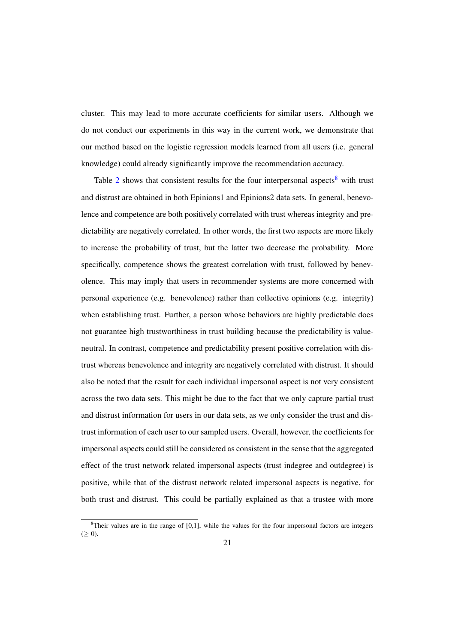cluster. This may lead to more accurate coefficients for similar users. Although we do not conduct our experiments in this way in the current work, we demonstrate that our method based on the logistic regression models learned from all users (i.e. general knowledge) could already significantly improve the recommendation accuracy.

Table  $2$  shows that consistent results for the four interpersonal aspects<sup>[8](#page-0-0)</sup> with trust and distrust are obtained in both Epinions1 and Epinions2 data sets. In general, benevolence and competence are both positively correlated with trust whereas integrity and predictability are negatively correlated. In other words, the first two aspects are more likely to increase the probability of trust, but the latter two decrease the probability. More specifically, competence shows the greatest correlation with trust, followed by benevolence. This may imply that users in recommender systems are more concerned with personal experience (e.g. benevolence) rather than collective opinions (e.g. integrity) when establishing trust. Further, a person whose behaviors are highly predictable does not guarantee high trustworthiness in trust building because the predictability is valueneutral. In contrast, competence and predictability present positive correlation with distrust whereas benevolence and integrity are negatively correlated with distrust. It should also be noted that the result for each individual impersonal aspect is not very consistent across the two data sets. This might be due to the fact that we only capture partial trust and distrust information for users in our data sets, as we only consider the trust and distrust information of each user to our sampled users. Overall, however, the coefficients for impersonal aspects could still be considered as consistent in the sense that the aggregated effect of the trust network related impersonal aspects (trust indegree and outdegree) is positive, while that of the distrust network related impersonal aspects is negative, for both trust and distrust. This could be partially explained as that a trustee with more

 $\frac{8}{3}$ Their values are in the range of [0,1], while the values for the four impersonal factors are integers  $(\geq 0)$ .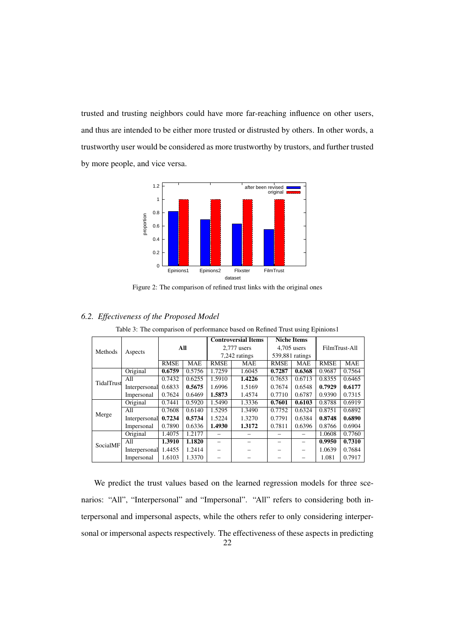trusted and trusting neighbors could have more far-reaching influence on other users, and thus are intended to be either more trusted or distrusted by others. In other words, a trustworthy user would be considered as more trustworthy by trustors, and further trusted by more people, and vice versa.

<span id="page-21-0"></span>

Figure 2: The comparison of refined trust links with the original ones

<span id="page-21-1"></span>

| Methods    |               | All         |            | <b>Controversial Items</b> |            | <b>Niche Items</b> |            | FilmTrust-All |            |
|------------|---------------|-------------|------------|----------------------------|------------|--------------------|------------|---------------|------------|
|            |               |             |            | 2,777 users                |            | $4,705$ users      |            |               |            |
|            | Aspects       |             |            | 7,242 ratings              |            | 539,881 ratings    |            |               |            |
|            |               | <b>RMSE</b> | <b>MAE</b> | <b>RMSE</b>                | <b>MAE</b> | <b>RMSE</b>        | <b>MAE</b> | <b>RMSE</b>   | <b>MAE</b> |
|            | Original      | 0.6759      | 0.5756     | 1.7259                     | 1.6045     | 0.7287             | 0.6368     | 0.9687        | 0.7564     |
| TidalTrust | A11           | 0.7432      | 0.6255     | 1.5910                     | 1.4226     | 0.7653             | 0.6713     | 0.8355        | 0.6465     |
|            | Interpersonal | 0.6833      | 0.5675     | 1.6996                     | 1.5169     | 0.7674             | 0.6548     | 0.7929        | 0.6177     |
|            | Impersonal    | 0.7624      | 0.6469     | 1.5873                     | 1.4574     | 0.7710             | 0.6787     | 0.9390        | 0.7315     |
|            | Original      | 0.7441      | 0.5920     | 1.5490                     | 1.3336     | 0.7601             | 0.6103     | 0.8788        | 0.6919     |
| Merge      | All           | 0.7608      | 0.6140     | 1.5295                     | 1.3490     | 0.7752             | 0.6324     | 0.8751        | 0.6892     |
|            | Interpersonal | 0.7234      | 0.5734     | 1.5224                     | 1.3270     | 0.7791             | 0.6384     | 0.8748        | 0.6890     |
|            | Impersonal    | 0.7890      | 0.6336     | 1.4930                     | 1.3172     | 0.7811             | 0.6396     | 0.8766        | 0.6904     |
| SocialMF   | Original      | 1.4075      | 1.2177     |                            |            |                    |            | 1.0608        | 0.7760     |
|            | A11           | 1.3910      | 1.1820     |                            |            |                    |            | 0.9950        | 0.7310     |
|            | Interpersonal | 1.4455      | 1.2414     |                            |            |                    |            | 1.0639        | 0.7684     |
|            | Impersonal    | 1.6103      | 1.3370     |                            |            |                    |            | 1.081         | 0.7917     |

# *6.2. Effectiveness of the Proposed Model*

Table 3: The comparison of performance based on Refined Trust using Epinions1

We predict the trust values based on the learned regression models for three scenarios: "All", "Interpersonal" and "Impersonal". "All" refers to considering both interpersonal and impersonal aspects, while the others refer to only considering interpersonal or impersonal aspects respectively. The effectiveness of these aspects in predicting 22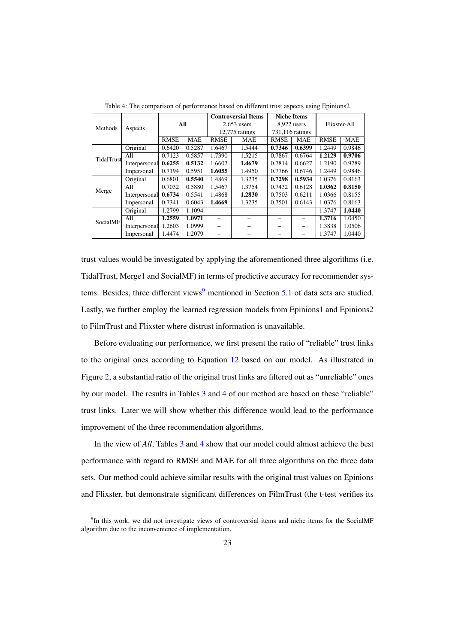<span id="page-22-0"></span>

|            |               | All         |            | <b>Controversial Items</b> |            | <b>Niche Items</b> |            | Flixster-All |            |
|------------|---------------|-------------|------------|----------------------------|------------|--------------------|------------|--------------|------------|
| Methods    | Aspects       |             |            | $2,653$ users              |            | $8,922$ users      |            |              |            |
|            |               |             |            | $12,775$ ratings           |            | 731,116 ratings    |            |              |            |
|            |               | <b>RMSE</b> | <b>MAE</b> | <b>RMSE</b>                | <b>MAE</b> | <b>RMSE</b>        | <b>MAE</b> | <b>RMSE</b>  | <b>MAE</b> |
|            | Original      | 0.6420      | 0.5287     | 1.6467                     | 1.5444     | 0.7346             | 0.6399     | 1.2449       | 0.9846     |
| TidalTrust | All           | 0.7123      | 0.5857     | 1.7390                     | 1.5215     | 0.7867             | 0.6764     | 1.2129       | 0.9706     |
|            | Interpersonal | 0.6255      | 0.5132     | 1.6607                     | 1.4679     | 0.7814             | 0.6627     | 1.2190       | 0.9789     |
|            | Impersonal    | 0.7194      | 0.5951     | 1.6055                     | 1.4950     | 0.7766             | 0.6746     | 1.2449       | 0.9846     |
|            | Original      | 0.6801      | 0.5540     | 1.4869                     | 1.3235     | 0.7298             | 0.5934     | 1.0376       | 0.8163     |
|            | A11           | 0.7032      | 0.5880     | 1.5467                     | 1.3754     | 0.7432             | 0.6128     | 1.0362       | 0.8150     |
| Merge      | Interpersonal | 0.6734      | 0.5541     | 1.4868                     | 1.2830     | 0.7503             | 0.6211     | 1.0366       | 0.8155     |
|            | Impersonal    | 0.7341      | 0.6043     | 1.4669                     | 1.3235     | 0.7501             | 0.6143     | 1.0376       | 0.8163     |
| SocialMF   | Original      | 1.2799      | 1.1094     |                            |            |                    |            | 1.3747       | 1.0440     |
|            | A11           | 1.2559      | 1.0971     |                            |            |                    |            | 1.3716       | 1.0450     |
|            | Interpersonal | 1.2603      | 1.0999     |                            |            |                    |            | 1.3838       | 1.0506     |
|            | Impersonal    | 1.4474      | 1.2079     |                            |            |                    |            | 1.3747       | 1.0440     |

Table 4: The comparison of performance based on different trust aspects using Epinions2

trust values would be investigated by applying the aforementioned three algorithms (i.e. TidalTrust, Merge1 and SocialMF) in terms of predictive accuracy for recommender sys-tems. Besides, three different views<sup>[9](#page-0-0)</sup> mentioned in Section  $5.1$  of data sets are studied. Lastly, we further employ the learned regression models from Epinions1 and Epinions2 to FilmTrust and Flixster where distrust information is unavailable.

Before evaluating our performance, we first present the ratio of "reliable" trust links to the original ones according to Equation [12](#page-15-3) based on our model. As illustrated in Figure [2,](#page-21-0) a substantial ratio of the original trust links are filtered out as "unreliable" ones by our model. The results in Tables [3](#page-21-1) and [4](#page-22-0) of our method are based on these "reliable" trust links. Later we will show whether this difference would lead to the performance improvement of the three recommendation algorithms.

In the view of *All*, Tables [3](#page-21-1) and [4](#page-22-0) show that our model could almost achieve the best performance with regard to RMSE and MAE for all three algorithms on the three data sets. Our method could achieve similar results with the original trust values on Epinions and Flixster, but demonstrate significant differences on FilmTrust (the t-test verifies its

<sup>9</sup> In this work, we did not investigate views of controversial items and niche items for the SocialMF algorithm due to the inconvenience of implementation.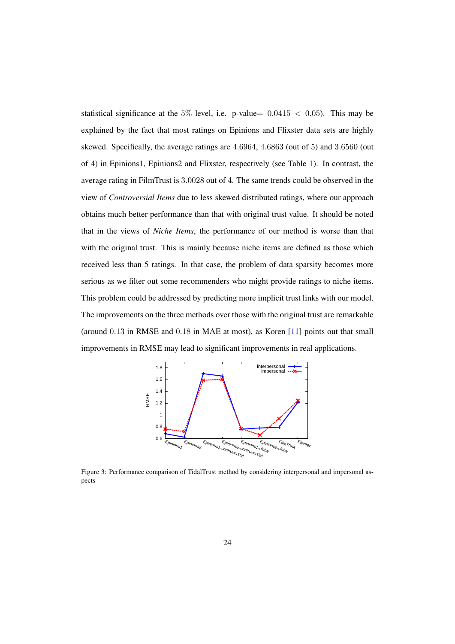statistical significance at the 5% level, i.e. p-value=  $0.0415 < 0.05$ ). This may be explained by the fact that most ratings on Epinions and Flixster data sets are highly skewed. Specifically, the average ratings are 4.6964, 4.6863 (out of 5) and 3.6560 (out of 4) in Epinions1, Epinions2 and Flixster, respectively (see Table [1\)](#page-16-0). In contrast, the average rating in FilmTrust is 3.0028 out of 4. The same trends could be observed in the view of *Controversial Items* due to less skewed distributed ratings, where our approach obtains much better performance than that with original trust value. It should be noted that in the views of *Niche Items*, the performance of our method is worse than that with the original trust. This is mainly because niche items are defined as those which received less than 5 ratings. In that case, the problem of data sparsity becomes more serious as we filter out some recommenders who might provide ratings to niche items. This problem could be addressed by predicting more implicit trust links with our model. The improvements on the three methods over those with the original trust are remarkable (around 0.13 in RMSE and 0.18 in MAE at most), as Koren [\[11\]](#page-32-12) points out that small improvements in RMSE may lead to significant improvements in real applications.

<span id="page-23-0"></span>

Figure 3: Performance comparison of TidalTrust method by considering interpersonal and impersonal aspects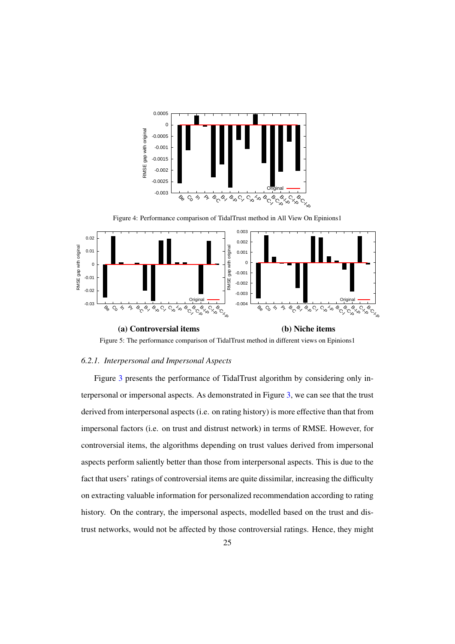<span id="page-24-0"></span>

Figure 4: Performance comparison of TidalTrust method in All View On Epinions1

<span id="page-24-1"></span>

Figure 5: The performance comparison of TidalTrust method in different views on Epinions1

### *6.2.1. Interpersonal and Impersonal Aspects*

Figure [3](#page-23-0) presents the performance of TidalTrust algorithm by considering only interpersonal or impersonal aspects. As demonstrated in Figure [3,](#page-23-0) we can see that the trust derived from interpersonal aspects (i.e. on rating history) is more effective than that from impersonal factors (i.e. on trust and distrust network) in terms of RMSE. However, for controversial items, the algorithms depending on trust values derived from impersonal aspects perform saliently better than those from interpersonal aspects. This is due to the fact that users' ratings of controversial items are quite dissimilar, increasing the difficulty on extracting valuable information for personalized recommendation according to rating history. On the contrary, the impersonal aspects, modelled based on the trust and distrust networks, would not be affected by those controversial ratings. Hence, they might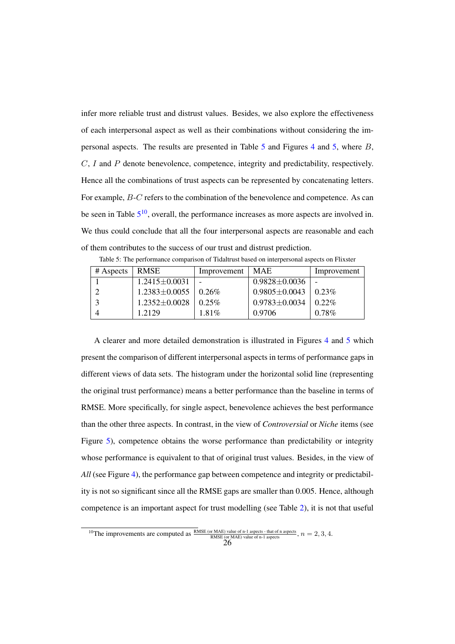infer more reliable trust and distrust values. Besides, we also explore the effectiveness of each interpersonal aspect as well as their combinations without considering the impersonal aspects. The results are presented in Table [5](#page-25-0) and Figures [4](#page-24-0) and [5,](#page-24-1) where B, C, I and P denote benevolence, competence, integrity and predictability, respectively. Hence all the combinations of trust aspects can be represented by concatenating letters. For example, B-C refers to the combination of the benevolence and competence. As can be seen in Table  $5^{10}$  $5^{10}$  $5^{10}$  $5^{10}$ , overall, the performance increases as more aspects are involved in. We thus could conclude that all the four interpersonal aspects are reasonable and each of them contributes to the success of our trust and distrust prediction.

<span id="page-25-0"></span>

| $#$ Aspects | <b>RMSE</b>         | Improvement | MAE.                | Improvement |
|-------------|---------------------|-------------|---------------------|-------------|
|             | $1.2415 \pm 0.0031$ |             | $0.9828 \pm 0.0036$ |             |
|             | $1.2383 \pm 0.0055$ | $0.26\%$    | $0.9805 \pm 0.0043$ | $0.23\%$    |
|             | $1.2352 \pm 0.0028$ | 0.25%       | $0.9783 \pm 0.0034$ | $0.22\%$    |
|             | 1.2129              | $1.81\%$    | 0.9706              | $0.78\%$    |

Table 5: The performance comparison of Tidaltrust based on interpersonal aspects on Flixster

A clearer and more detailed demonstration is illustrated in Figures [4](#page-24-0) and [5](#page-24-1) which present the comparison of different interpersonal aspects in terms of performance gaps in different views of data sets. The histogram under the horizontal solid line (representing the original trust performance) means a better performance than the baseline in terms of RMSE. More specifically, for single aspect, benevolence achieves the best performance than the other three aspects. In contrast, in the view of *Controversial* or *Niche* items (see Figure [5\)](#page-24-1), competence obtains the worse performance than predictability or integrity whose performance is equivalent to that of original trust values. Besides, in the view of *All* (see Figure [4\)](#page-24-0), the performance gap between competence and integrity or predictability is not so significant since all the RMSE gaps are smaller than 0.005. Hence, although competence is an important aspect for trust modelling (see Table [2\)](#page-19-0), it is not that useful

<sup>&</sup>lt;sup>10</sup>The improvements are computed as  $\frac{\text{RMSE (or MAE) value of n-1 aspects - that of n aspects}}{\text{RMSE (or MAE) value of n-1 aspects}}$ ,  $n = 2, 3, 4$ .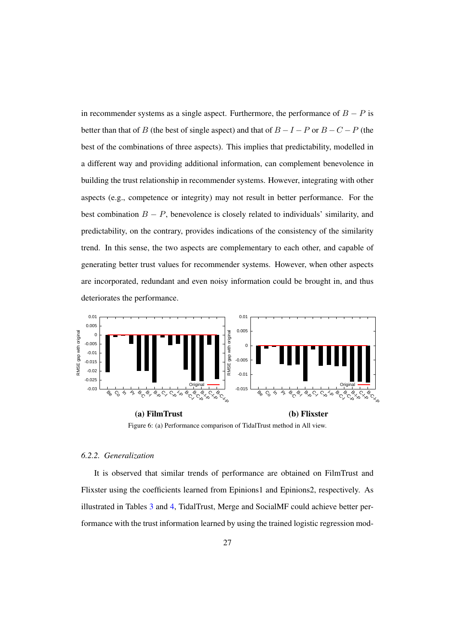in recommender systems as a single aspect. Furthermore, the performance of  $B - P$  is better than that of B (the best of single aspect) and that of  $B - I - P$  or  $B - C - P$  (the best of the combinations of three aspects). This implies that predictability, modelled in a different way and providing additional information, can complement benevolence in building the trust relationship in recommender systems. However, integrating with other aspects (e.g., competence or integrity) may not result in better performance. For the best combination  $B - P$ , benevolence is closely related to individuals' similarity, and predictability, on the contrary, provides indications of the consistency of the similarity trend. In this sense, the two aspects are complementary to each other, and capable of generating better trust values for recommender systems. However, when other aspects are incorporated, redundant and even noisy information could be brought in, and thus deteriorates the performance.

<span id="page-26-0"></span>

Figure 6: (a) Performance comparison of TidalTrust method in All view.

# *6.2.2. Generalization*

It is observed that similar trends of performance are obtained on FilmTrust and Flixster using the coefficients learned from Epinions1 and Epinions2, respectively. As illustrated in Tables [3](#page-21-1) and [4,](#page-22-0) TidalTrust, Merge and SocialMF could achieve better performance with the trust information learned by using the trained logistic regression mod-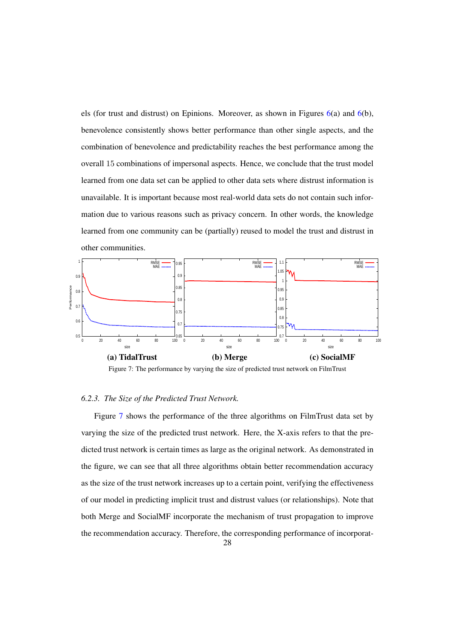els (for trust and distrust) on Epinions. Moreover, as shown in Figures [6\(](#page-26-0)a) and [6\(](#page-26-0)b), benevolence consistently shows better performance than other single aspects, and the combination of benevolence and predictability reaches the best performance among the overall 15 combinations of impersonal aspects. Hence, we conclude that the trust model learned from one data set can be applied to other data sets where distrust information is unavailable. It is important because most real-world data sets do not contain such information due to various reasons such as privacy concern. In other words, the knowledge learned from one community can be (partially) reused to model the trust and distrust in other communities.

<span id="page-27-0"></span>



#### *6.2.3. The Size of the Predicted Trust Network.*

Figure [7](#page-27-0) shows the performance of the three algorithms on FilmTrust data set by varying the size of the predicted trust network. Here, the X-axis refers to that the predicted trust network is certain times as large as the original network. As demonstrated in the figure, we can see that all three algorithms obtain better recommendation accuracy as the size of the trust network increases up to a certain point, verifying the effectiveness of our model in predicting implicit trust and distrust values (or relationships). Note that both Merge and SocialMF incorporate the mechanism of trust propagation to improve the recommendation accuracy. Therefore, the corresponding performance of incorporat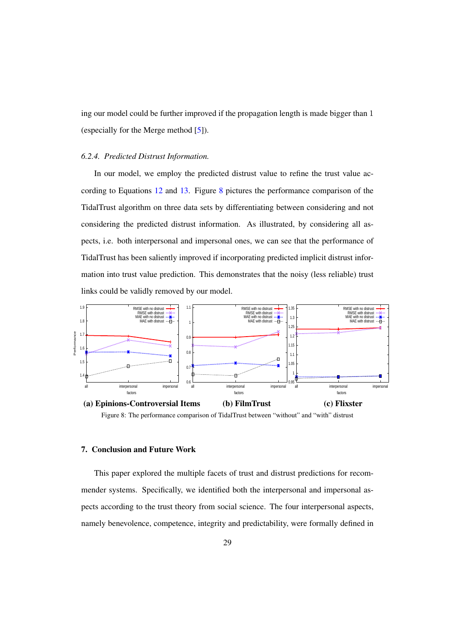ing our model could be further improved if the propagation length is made bigger than 1 (especially for the Merge method [\[5\]](#page-31-2)).

#### *6.2.4. Predicted Distrust Information.*

In our model, we employ the predicted distrust value to refine the trust value according to Equations [12](#page-15-3) and [13.](#page-15-1) Figure [8](#page-28-1) pictures the performance comparison of the TidalTrust algorithm on three data sets by differentiating between considering and not considering the predicted distrust information. As illustrated, by considering all aspects, i.e. both interpersonal and impersonal ones, we can see that the performance of TidalTrust has been saliently improved if incorporating predicted implicit distrust information into trust value prediction. This demonstrates that the noisy (less reliable) trust links could be validly removed by our model.

<span id="page-28-1"></span>

Figure 8: The performance comparison of TidalTrust between "without" and "with" distrust

# <span id="page-28-0"></span>7. Conclusion and Future Work

This paper explored the multiple facets of trust and distrust predictions for recommender systems. Specifically, we identified both the interpersonal and impersonal aspects according to the trust theory from social science. The four interpersonal aspects, namely benevolence, competence, integrity and predictability, were formally defined in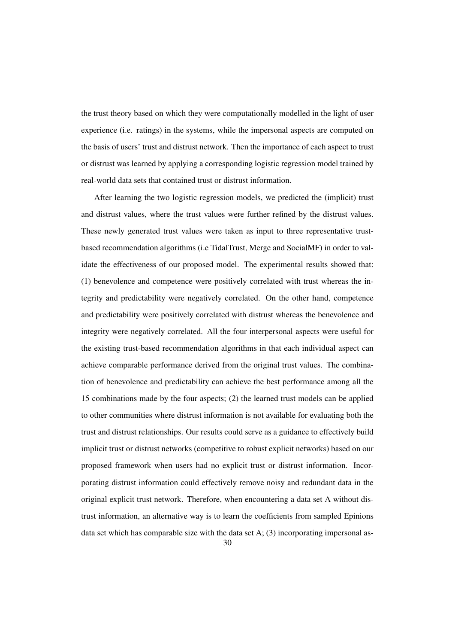the trust theory based on which they were computationally modelled in the light of user experience (i.e. ratings) in the systems, while the impersonal aspects are computed on the basis of users' trust and distrust network. Then the importance of each aspect to trust or distrust was learned by applying a corresponding logistic regression model trained by real-world data sets that contained trust or distrust information.

After learning the two logistic regression models, we predicted the (implicit) trust and distrust values, where the trust values were further refined by the distrust values. These newly generated trust values were taken as input to three representative trustbased recommendation algorithms (i.e TidalTrust, Merge and SocialMF) in order to validate the effectiveness of our proposed model. The experimental results showed that: (1) benevolence and competence were positively correlated with trust whereas the integrity and predictability were negatively correlated. On the other hand, competence and predictability were positively correlated with distrust whereas the benevolence and integrity were negatively correlated. All the four interpersonal aspects were useful for the existing trust-based recommendation algorithms in that each individual aspect can achieve comparable performance derived from the original trust values. The combination of benevolence and predictability can achieve the best performance among all the 15 combinations made by the four aspects; (2) the learned trust models can be applied to other communities where distrust information is not available for evaluating both the trust and distrust relationships. Our results could serve as a guidance to effectively build implicit trust or distrust networks (competitive to robust explicit networks) based on our proposed framework when users had no explicit trust or distrust information. Incorporating distrust information could effectively remove noisy and redundant data in the original explicit trust network. Therefore, when encountering a data set A without distrust information, an alternative way is to learn the coefficients from sampled Epinions data set which has comparable size with the data set A;  $(3)$  incorporating impersonal as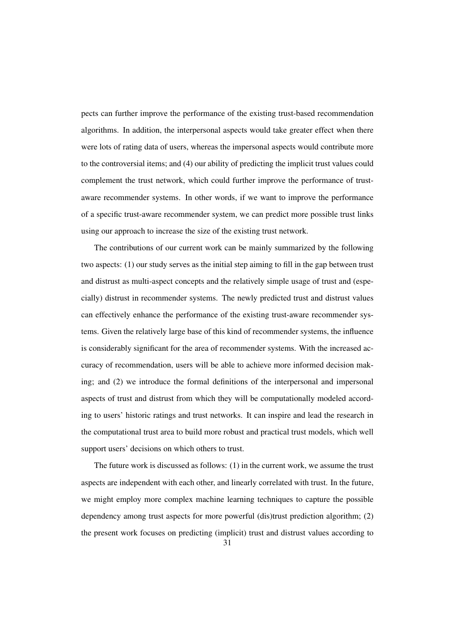pects can further improve the performance of the existing trust-based recommendation algorithms. In addition, the interpersonal aspects would take greater effect when there were lots of rating data of users, whereas the impersonal aspects would contribute more to the controversial items; and (4) our ability of predicting the implicit trust values could complement the trust network, which could further improve the performance of trustaware recommender systems. In other words, if we want to improve the performance of a specific trust-aware recommender system, we can predict more possible trust links using our approach to increase the size of the existing trust network.

The contributions of our current work can be mainly summarized by the following two aspects: (1) our study serves as the initial step aiming to fill in the gap between trust and distrust as multi-aspect concepts and the relatively simple usage of trust and (especially) distrust in recommender systems. The newly predicted trust and distrust values can effectively enhance the performance of the existing trust-aware recommender systems. Given the relatively large base of this kind of recommender systems, the influence is considerably significant for the area of recommender systems. With the increased accuracy of recommendation, users will be able to achieve more informed decision making; and (2) we introduce the formal definitions of the interpersonal and impersonal aspects of trust and distrust from which they will be computationally modeled according to users' historic ratings and trust networks. It can inspire and lead the research in the computational trust area to build more robust and practical trust models, which well support users' decisions on which others to trust.

The future work is discussed as follows: (1) in the current work, we assume the trust aspects are independent with each other, and linearly correlated with trust. In the future, we might employ more complex machine learning techniques to capture the possible dependency among trust aspects for more powerful (dis)trust prediction algorithm; (2) the present work focuses on predicting (implicit) trust and distrust values according to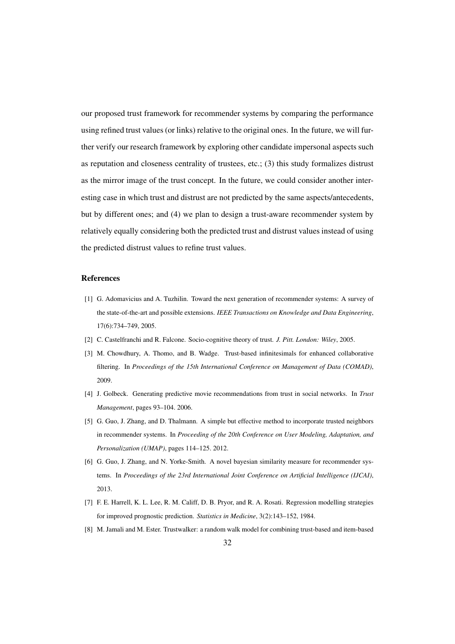our proposed trust framework for recommender systems by comparing the performance using refined trust values (or links) relative to the original ones. In the future, we will further verify our research framework by exploring other candidate impersonal aspects such as reputation and closeness centrality of trustees, etc.; (3) this study formalizes distrust as the mirror image of the trust concept. In the future, we could consider another interesting case in which trust and distrust are not predicted by the same aspects/antecedents, but by different ones; and (4) we plan to design a trust-aware recommender system by relatively equally considering both the predicted trust and distrust values instead of using the predicted distrust values to refine trust values.

#### References

- <span id="page-31-0"></span>[1] G. Adomavicius and A. Tuzhilin. Toward the next generation of recommender systems: A survey of the state-of-the-art and possible extensions. *IEEE Transactions on Knowledge and Data Engineering*, 17(6):734–749, 2005.
- <span id="page-31-3"></span><span id="page-31-1"></span>[2] C. Castelfranchi and R. Falcone. Socio-cognitive theory of trust. *J. Pitt. London: Wiley*, 2005.
- [3] M. Chowdhury, A. Thomo, and B. Wadge. Trust-based infinitesimals for enhanced collaborative filtering. In *Proceedings of the 15th International Conference on Management of Data (COMAD)*, 2009.
- <span id="page-31-4"></span>[4] J. Golbeck. Generating predictive movie recommendations from trust in social networks. In *Trust Management*, pages 93–104. 2006.
- <span id="page-31-2"></span>[5] G. Guo, J. Zhang, and D. Thalmann. A simple but effective method to incorporate trusted neighbors in recommender systems. In *Proceeding of the 20th Conference on User Modeling, Adaptation, and Personalization (UMAP)*, pages 114–125. 2012.
- <span id="page-31-6"></span>[6] G. Guo, J. Zhang, and N. Yorke-Smith. A novel bayesian similarity measure for recommender systems. In *Proceedings of the 23rd International Joint Conference on Artificial Intelligence (IJCAI)*, 2013.
- <span id="page-31-7"></span>[7] F. E. Harrell, K. L. Lee, R. M. Califf, D. B. Pryor, and R. A. Rosati. Regression modelling strategies for improved prognostic prediction. *Statistics in Medicine*, 3(2):143–152, 1984.
- <span id="page-31-5"></span>[8] M. Jamali and M. Ester. Trustwalker: a random walk model for combining trust-based and item-based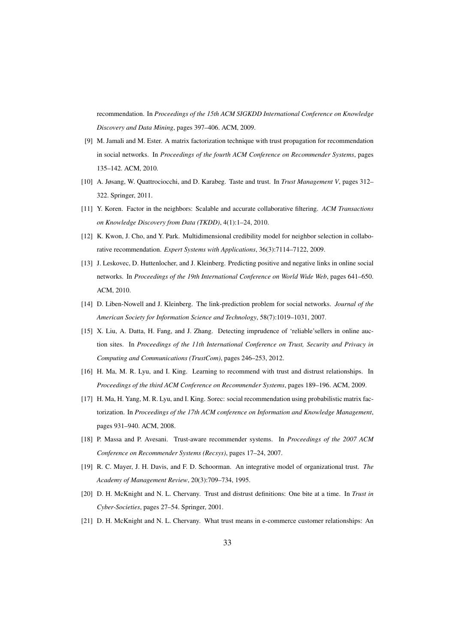recommendation. In *Proceedings of the 15th ACM SIGKDD International Conference on Knowledge Discovery and Data Mining*, pages 397–406. ACM, 2009.

- <span id="page-32-2"></span>[9] M. Jamali and M. Ester. A matrix factorization technique with trust propagation for recommendation in social networks. In *Proceedings of the fourth ACM Conference on Recommender Systems*, pages 135–142. ACM, 2010.
- <span id="page-32-7"></span>[10] A. Jøsang, W. Quattrociocchi, and D. Karabeg. Taste and trust. In *Trust Management V*, pages 312– 322. Springer, 2011.
- <span id="page-32-12"></span>[11] Y. Koren. Factor in the neighbors: Scalable and accurate collaborative filtering. *ACM Transactions on Knowledge Discovery from Data (TKDD)*, 4(1):1–24, 2010.
- <span id="page-32-6"></span>[12] K. Kwon, J. Cho, and Y. Park. Multidimensional credibility model for neighbor selection in collaborative recommendation. *Expert Systems with Applications*, 36(3):7114–7122, 2009.
- <span id="page-32-9"></span>[13] J. Leskovec, D. Huttenlocher, and J. Kleinberg. Predicting positive and negative links in online social networks. In *Proceedings of the 19th International Conference on World Wide Web*, pages 641–650. ACM, 2010.
- <span id="page-32-8"></span>[14] D. Liben-Nowell and J. Kleinberg. The link-prediction problem for social networks. *Journal of the American Society for Information Science and Technology*, 58(7):1019–1031, 2007.
- <span id="page-32-11"></span>[15] X. Liu, A. Datta, H. Fang, and J. Zhang. Detecting imprudence of 'reliable'sellers in online auction sites. In *Proceedings of the 11th International Conference on Trust, Security and Privacy in Computing and Communications (TrustCom)*, pages 246–253, 2012.
- <span id="page-32-1"></span>[16] H. Ma, M. R. Lyu, and I. King. Learning to recommend with trust and distrust relationships. In *Proceedings of the third ACM Conference on Recommender Systems*, pages 189–196. ACM, 2009.
- <span id="page-32-10"></span>[17] H. Ma, H. Yang, M. R. Lyu, and I. King. Sorec: social recommendation using probabilistic matrix factorization. In *Proceedings of the 17th ACM conference on Information and Knowledge Management*, pages 931–940. ACM, 2008.
- <span id="page-32-0"></span>[18] P. Massa and P. Avesani. Trust-aware recommender systems. In *Proceedings of the 2007 ACM Conference on Recommender Systems (Recsys)*, pages 17–24, 2007.
- <span id="page-32-3"></span>[19] R. C. Mayer, J. H. Davis, and F. D. Schoorman. An integrative model of organizational trust. *The Academy of Management Review*, 20(3):709–734, 1995.
- <span id="page-32-5"></span>[20] D. H. McKnight and N. L. Chervany. Trust and distrust definitions: One bite at a time. In *Trust in Cyber-Societies*, pages 27–54. Springer, 2001.
- <span id="page-32-4"></span>[21] D. H. McKnight and N. L. Chervany. What trust means in e-commerce customer relationships: An